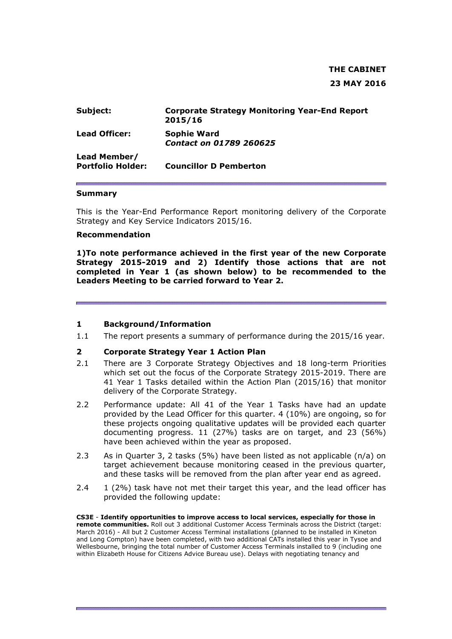# **THE CABINET 23 MAY 2016**

| Subject:                                 | <b>Corporate Strategy Monitoring Year-End Report</b><br>2015/16 |
|------------------------------------------|-----------------------------------------------------------------|
| <b>Lead Officer:</b>                     | <b>Sophie Ward</b><br><b>Contact on 01789 260625</b>            |
| Lead Member/<br><b>Portfolio Holder:</b> | <b>Councillor D Pemberton</b>                                   |

#### **Summary**

This is the Year-End Performance Report monitoring delivery of the Corporate Strategy and Key Service Indicators 2015/16.

#### **Recommendation**

**1)To note performance achieved in the first year of the new Corporate Strategy 2015-2019 and 2) Identify those actions that are not completed in Year 1 (as shown below) to be recommended to the Leaders Meeting to be carried forward to Year 2.**

#### **1 Background/Information**

1.1 The report presents a summary of performance during the 2015/16 year.

#### **2 Corporate Strategy Year 1 Action Plan**

- 2.1 There are 3 Corporate Strategy Objectives and 18 long-term Priorities which set out the focus of the Corporate Strategy 2015-2019. There are 41 Year 1 Tasks detailed within the Action Plan (2015/16) that monitor delivery of the Corporate Strategy.
- 2.2 Performance update: All 41 of the Year 1 Tasks have had an update provided by the Lead Officer for this quarter. 4 (10%) are ongoing, so for these projects ongoing qualitative updates will be provided each quarter documenting progress. 11 (27%) tasks are on target, and 23 (56%) have been achieved within the year as proposed.
- 2.3 As in Quarter 3, 2 tasks (5%) have been listed as not applicable (n/a) on target achievement because monitoring ceased in the previous quarter, and these tasks will be removed from the plan after year end as agreed.
- 2.4 1 (2%) task have not met their target this year, and the lead officer has provided the following update:

**CS3E** - **Identify opportunities to improve access to local services, especially for those in remote communities.** Roll out 3 additional Customer Access Terminals across the District (target: March 2016) - All but 2 Customer Access Terminal installations (planned to be installed in Kineton and Long Compton) have been completed, with two additional CATs installed this year in Tysoe and Wellesbourne, bringing the total number of Customer Access Terminals installed to 9 (including one within Elizabeth House for Citizens Advice Bureau use). Delays with negotiating tenancy and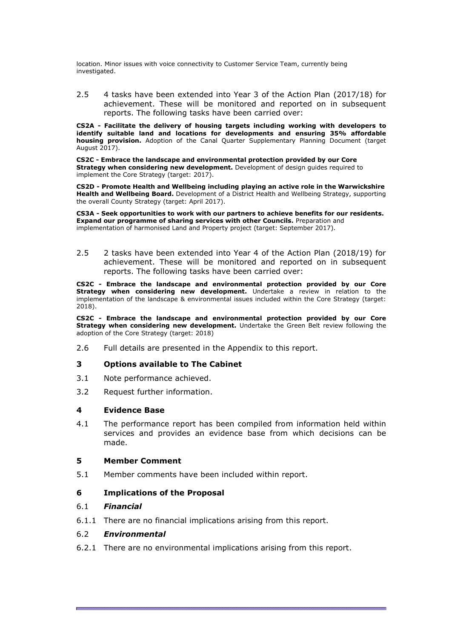location. Minor issues with voice connectivity to Customer Service Team, currently being investigated.

2.5 4 tasks have been extended into Year 3 of the Action Plan (2017/18) for achievement. These will be monitored and reported on in subsequent reports. The following tasks have been carried over:

**CS2A - Facilitate the delivery of housing targets including working with developers to identify suitable land and locations for developments and ensuring 35% affordable housing provision.** Adoption of the Canal Quarter Supplementary Planning Document (target August 2017).

**CS2C - Embrace the landscape and environmental protection provided by our Core Strategy when considering new development.** Development of design guides required to implement the Core Strategy (target: 2017).

**CS2D - Promote Health and Wellbeing including playing an active role in the Warwickshire Health and Wellbeing Board.** Development of a District Health and Wellbeing Strategy, supporting the overall County Strategy (target: April 2017).

**CS3A - Seek opportunities to work with our partners to achieve benefits for our residents. Expand our programme of sharing services with other Councils.** Preparation and implementation of harmonised Land and Property project (target: September 2017).

2.5 2 tasks have been extended into Year 4 of the Action Plan (2018/19) for achievement. These will be monitored and reported on in subsequent reports. The following tasks have been carried over:

**CS2C - Embrace the landscape and environmental protection provided by our Core Strategy when considering new development.** Undertake a review in relation to the implementation of the landscape & environmental issues included within the Core Strategy (target: 2018).

**CS2C - Embrace the landscape and environmental protection provided by our Core Strategy when considering new development.** Undertake the Green Belt review following the adoption of the Core Strategy (target: 2018)

2.6 Full details are presented in the Appendix to this report.

### **3 Options available to The Cabinet**

- 3.1 Note performance achieved.
- 3.2 Request further information.

### **4 Evidence Base**

4.1 The performance report has been compiled from information held within services and provides an evidence base from which decisions can be made.

### **5 Member Comment**

5.1 Member comments have been included within report.

### **6 Implications of the Proposal**

### 6.1 *Financial*

6.1.1 There are no financial implications arising from this report.

### 6.2 *Environmental*

6.2.1 There are no environmental implications arising from this report.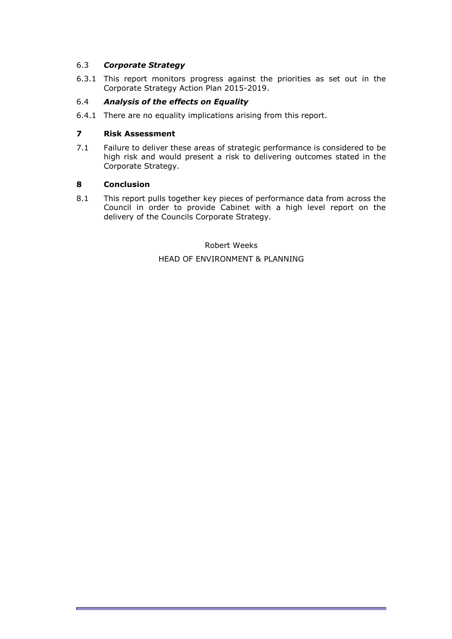## 6.3 *Corporate Strategy*

6.3.1 This report monitors progress against the priorities as set out in the Corporate Strategy Action Plan 2015-2019.

## 6.4 *Analysis of the effects on Equality*

6.4.1 There are no equality implications arising from this report.

### **7 Risk Assessment**

7.1 Failure to deliver these areas of strategic performance is considered to be high risk and would present a risk to delivering outcomes stated in the Corporate Strategy.

### **8 Conclusion**

8.1 This report pulls together key pieces of performance data from across the Council in order to provide Cabinet with a high level report on the delivery of the Councils Corporate Strategy.

> Robert Weeks HEAD OF ENVIRONMENT & PLANNING